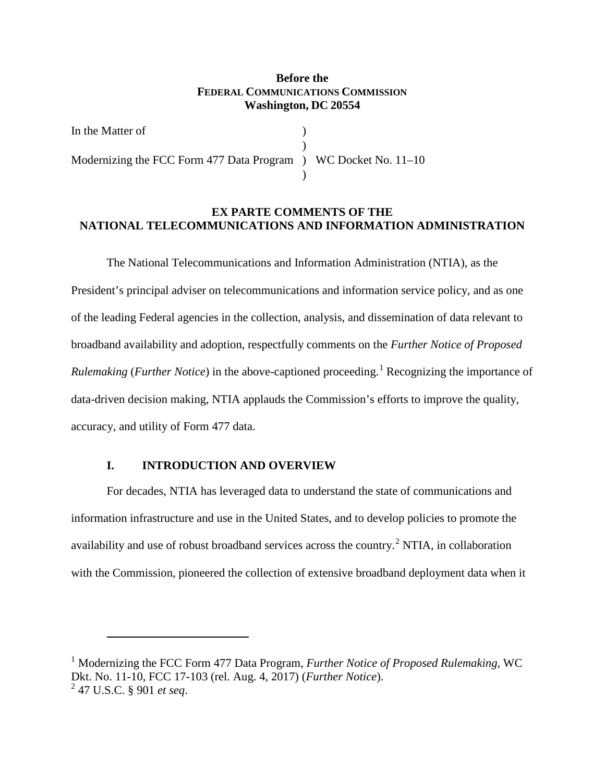# **Before the FEDERAL COMMUNICATIONS COMMISSION Washington, DC 20554**

In the Matter of  $\qquad \qquad$  ) ) Modernizing the FCC Form 477 Data Program ) WC Docket No. 11–10 )

# **EX PARTE COMMENTS OF THE NATIONAL TELECOMMUNICATIONS AND INFORMATION ADMINISTRATION**

The National Telecommunications and Information Administration (NTIA), as the President's principal adviser on telecommunications and information service policy, and as one of the leading Federal agencies in the collection, analysis, and dissemination of data relevant to broadband availability and adoption, respectfully comments on the *Further Notice of Proposed Rulemaking* (*Further Notice*) in the above-captioned proceeding.<sup>[1](#page-0-0)</sup> Recognizing the importance of data-driven decision making, NTIA applauds the Commission's efforts to improve the quality, accuracy, and utility of Form 477 data.

#### **I. INTRODUCTION AND OVERVIEW**

 $\overline{a}$ 

For decades, NTIA has leveraged data to understand the state of communications and information infrastructure and use in the United States, and to develop policies to promote the availability and use of robust broadband services across the country.<sup>[2](#page-0-1)</sup> NTIA, in collaboration with the Commission, pioneered the collection of extensive broadband deployment data when it

<span id="page-0-1"></span><span id="page-0-0"></span><sup>1</sup> Modernizing the FCC Form 477 Data Program, *Further Notice of Proposed Rulemaking*, WC Dkt. No. 11-10, FCC 17-103 (rel. Aug. 4, 2017) (*Further Notice*). <sup>2</sup> 47 U.S.C. § 901 *et seq*.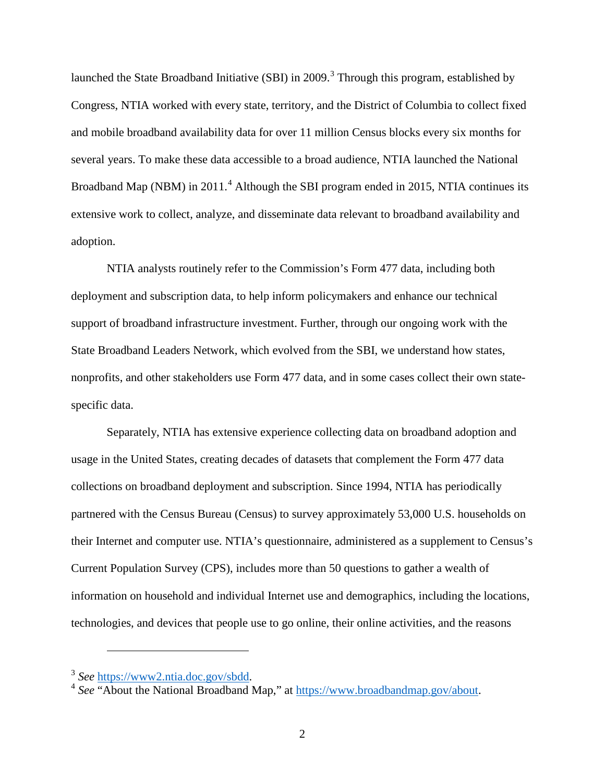launched the State Broadband Initiative (SBI) in 2009.<sup>[3](#page-1-0)</sup> Through this program, established by Congress, NTIA worked with every state, territory, and the District of Columbia to collect fixed and mobile broadband availability data for over 11 million Census blocks every six months for several years. To make these data accessible to a broad audience, NTIA launched the National Broadband Map (NBM) in  $2011<sup>4</sup>$  $2011<sup>4</sup>$  $2011<sup>4</sup>$  Although the SBI program ended in 2015, NTIA continues its extensive work to collect, analyze, and disseminate data relevant to broadband availability and adoption.

NTIA analysts routinely refer to the Commission's Form 477 data, including both deployment and subscription data, to help inform policymakers and enhance our technical support of broadband infrastructure investment. Further, through our ongoing work with the State Broadband Leaders Network, which evolved from the SBI, we understand how states, nonprofits, and other stakeholders use Form 477 data, and in some cases collect their own statespecific data.

Separately, NTIA has extensive experience collecting data on broadband adoption and usage in the United States, creating decades of datasets that complement the Form 477 data collections on broadband deployment and subscription. Since 1994, NTIA has periodically partnered with the Census Bureau (Census) to survey approximately 53,000 U.S. households on their Internet and computer use. NTIA's questionnaire, administered as a supplement to Census's Current Population Survey (CPS), includes more than 50 questions to gather a wealth of information on household and individual Internet use and demographics, including the locations, technologies, and devices that people use to go online, their online activities, and the reasons

<span id="page-1-1"></span><span id="page-1-0"></span><sup>3</sup> *See* [https://www2.ntia.doc.gov/sbdd.](https://www2.ntia.doc.gov/sbdd) <sup>4</sup> *See* "About the National Broadband Map," at [https://www.broadbandmap.gov/about.](https://www.broadbandmap.gov/about)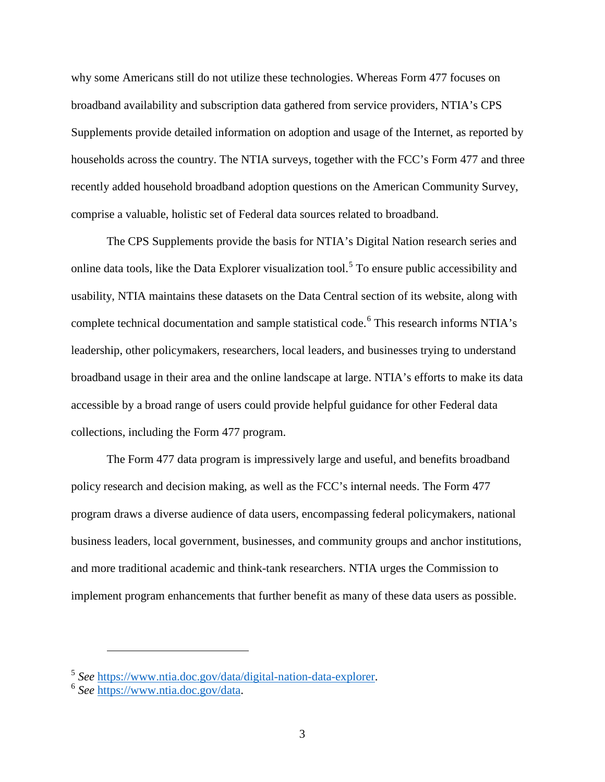why some Americans still do not utilize these technologies. Whereas Form 477 focuses on broadband availability and subscription data gathered from service providers, NTIA's CPS Supplements provide detailed information on adoption and usage of the Internet, as reported by households across the country. The NTIA surveys, together with the FCC's Form 477 and three recently added household broadband adoption questions on the American Community Survey, comprise a valuable, holistic set of Federal data sources related to broadband.

The CPS Supplements provide the basis for NTIA's Digital Nation research series and online data tools, like the Data Explorer visualization tool.<sup>[5](#page-2-0)</sup> To ensure public accessibility and usability, NTIA maintains these datasets on the Data Central section of its website, along with complete technical documentation and sample statistical code. [6](#page-2-1) This research informs NTIA's leadership, other policymakers, researchers, local leaders, and businesses trying to understand broadband usage in their area and the online landscape at large. NTIA's efforts to make its data accessible by a broad range of users could provide helpful guidance for other Federal data collections, including the Form 477 program.

The Form 477 data program is impressively large and useful, and benefits broadband policy research and decision making, as well as the FCC's internal needs. The Form 477 program draws a diverse audience of data users, encompassing federal policymakers, national business leaders, local government, businesses, and community groups and anchor institutions, and more traditional academic and think-tank researchers. NTIA urges the Commission to implement program enhancements that further benefit as many of these data users as possible.

<span id="page-2-1"></span><span id="page-2-0"></span><sup>5</sup> *See* [https://www.ntia.doc.gov/data/digital-nation-data-explorer.](https://www.ntia.doc.gov/data/digital-nation-data-explorer) <sup>6</sup> *See* [https://www.ntia.doc.gov/data.](https://www.ntia.doc.gov/data)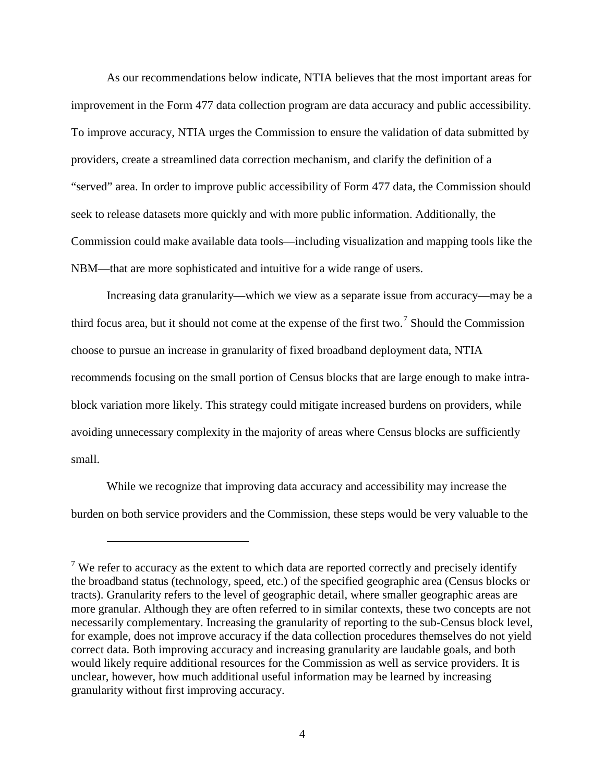As our recommendations below indicate, NTIA believes that the most important areas for improvement in the Form 477 data collection program are data accuracy and public accessibility. To improve accuracy, NTIA urges the Commission to ensure the validation of data submitted by providers, create a streamlined data correction mechanism, and clarify the definition of a "served" area. In order to improve public accessibility of Form 477 data, the Commission should seek to release datasets more quickly and with more public information. Additionally, the Commission could make available data tools—including visualization and mapping tools like the NBM—that are more sophisticated and intuitive for a wide range of users.

Increasing data granularity—which we view as a separate issue from accuracy—may be a third focus area, but it should not come at the expense of the first two.<sup>[7](#page-3-0)</sup> Should the Commission choose to pursue an increase in granularity of fixed broadband deployment data, NTIA recommends focusing on the small portion of Census blocks that are large enough to make intrablock variation more likely. This strategy could mitigate increased burdens on providers, while avoiding unnecessary complexity in the majority of areas where Census blocks are sufficiently small.

While we recognize that improving data accuracy and accessibility may increase the burden on both service providers and the Commission, these steps would be very valuable to the

<span id="page-3-0"></span><sup>&</sup>lt;sup>7</sup> We refer to accuracy as the extent to which data are reported correctly and precisely identify the broadband status (technology, speed, etc.) of the specified geographic area (Census blocks or tracts). Granularity refers to the level of geographic detail, where smaller geographic areas are more granular. Although they are often referred to in similar contexts, these two concepts are not necessarily complementary. Increasing the granularity of reporting to the sub-Census block level, for example, does not improve accuracy if the data collection procedures themselves do not yield correct data. Both improving accuracy and increasing granularity are laudable goals, and both would likely require additional resources for the Commission as well as service providers. It is unclear, however, how much additional useful information may be learned by increasing granularity without first improving accuracy.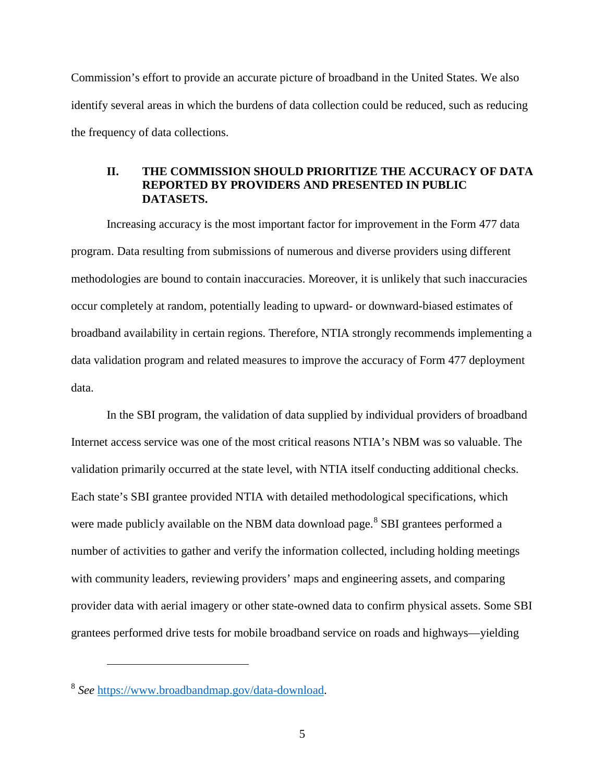Commission's effort to provide an accurate picture of broadband in the United States. We also identify several areas in which the burdens of data collection could be reduced, such as reducing the frequency of data collections.

#### **II. THE COMMISSION SHOULD PRIORITIZE THE ACCURACY OF DATA REPORTED BY PROVIDERS AND PRESENTED IN PUBLIC DATASETS.**

Increasing accuracy is the most important factor for improvement in the Form 477 data program. Data resulting from submissions of numerous and diverse providers using different methodologies are bound to contain inaccuracies. Moreover, it is unlikely that such inaccuracies occur completely at random, potentially leading to upward- or downward-biased estimates of broadband availability in certain regions. Therefore, NTIA strongly recommends implementing a data validation program and related measures to improve the accuracy of Form 477 deployment data.

In the SBI program, the validation of data supplied by individual providers of broadband Internet access service was one of the most critical reasons NTIA's NBM was so valuable. The validation primarily occurred at the state level, with NTIA itself conducting additional checks. Each state's SBI grantee provided NTIA with detailed methodological specifications, which were made publicly available on the NBM data download page.<sup>[8](#page-4-0)</sup> SBI grantees performed a number of activities to gather and verify the information collected, including holding meetings with community leaders, reviewing providers' maps and engineering assets, and comparing provider data with aerial imagery or other state-owned data to confirm physical assets. Some SBI grantees performed drive tests for mobile broadband service on roads and highways—yielding

<span id="page-4-0"></span><sup>8</sup> *See* [https://www.broadbandmap.gov/data-download.](https://www.broadbandmap.gov/data-download)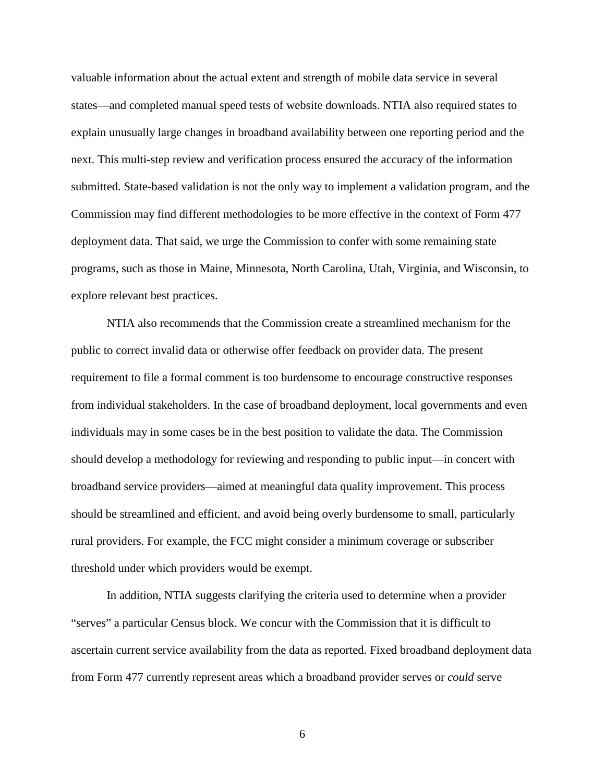valuable information about the actual extent and strength of mobile data service in several states—and completed manual speed tests of website downloads. NTIA also required states to explain unusually large changes in broadband availability between one reporting period and the next. This multi-step review and verification process ensured the accuracy of the information submitted. State-based validation is not the only way to implement a validation program, and the Commission may find different methodologies to be more effective in the context of Form 477 deployment data. That said, we urge the Commission to confer with some remaining state programs, such as those in Maine, Minnesota, North Carolina, Utah, Virginia, and Wisconsin, to explore relevant best practices.

NTIA also recommends that the Commission create a streamlined mechanism for the public to correct invalid data or otherwise offer feedback on provider data. The present requirement to file a formal comment is too burdensome to encourage constructive responses from individual stakeholders. In the case of broadband deployment, local governments and even individuals may in some cases be in the best position to validate the data. The Commission should develop a methodology for reviewing and responding to public input—in concert with broadband service providers—aimed at meaningful data quality improvement. This process should be streamlined and efficient, and avoid being overly burdensome to small, particularly rural providers. For example, the FCC might consider a minimum coverage or subscriber threshold under which providers would be exempt.

In addition, NTIA suggests clarifying the criteria used to determine when a provider "serves" a particular Census block. We concur with the Commission that it is difficult to ascertain current service availability from the data as reported. Fixed broadband deployment data from Form 477 currently represent areas which a broadband provider serves or *could* serve

6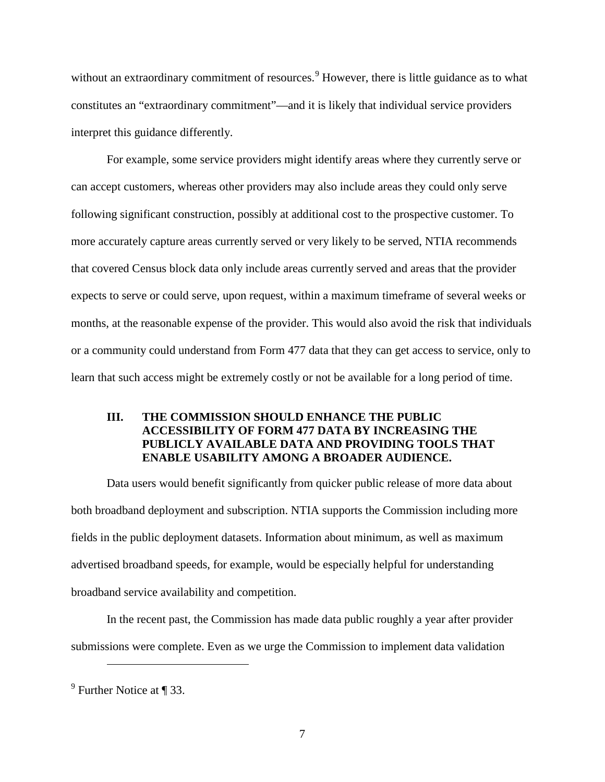without an extraordinary commitment of resources.<sup>[9](#page-6-0)</sup> However, there is little guidance as to what constitutes an "extraordinary commitment"—and it is likely that individual service providers interpret this guidance differently.

For example, some service providers might identify areas where they currently serve or can accept customers, whereas other providers may also include areas they could only serve following significant construction, possibly at additional cost to the prospective customer. To more accurately capture areas currently served or very likely to be served, NTIA recommends that covered Census block data only include areas currently served and areas that the provider expects to serve or could serve, upon request, within a maximum timeframe of several weeks or months, at the reasonable expense of the provider. This would also avoid the risk that individuals or a community could understand from Form 477 data that they can get access to service, only to learn that such access might be extremely costly or not be available for a long period of time.

# **III. THE COMMISSION SHOULD ENHANCE THE PUBLIC ACCESSIBILITY OF FORM 477 DATA BY INCREASING THE PUBLICLY AVAILABLE DATA AND PROVIDING TOOLS THAT ENABLE USABILITY AMONG A BROADER AUDIENCE.**

Data users would benefit significantly from quicker public release of more data about both broadband deployment and subscription. NTIA supports the Commission including more fields in the public deployment datasets. Information about minimum, as well as maximum advertised broadband speeds, for example, would be especially helpful for understanding broadband service availability and competition.

In the recent past, the Commission has made data public roughly a year after provider submissions were complete. Even as we urge the Commission to implement data validation

<span id="page-6-0"></span> $9$  Further Notice at ¶ 33.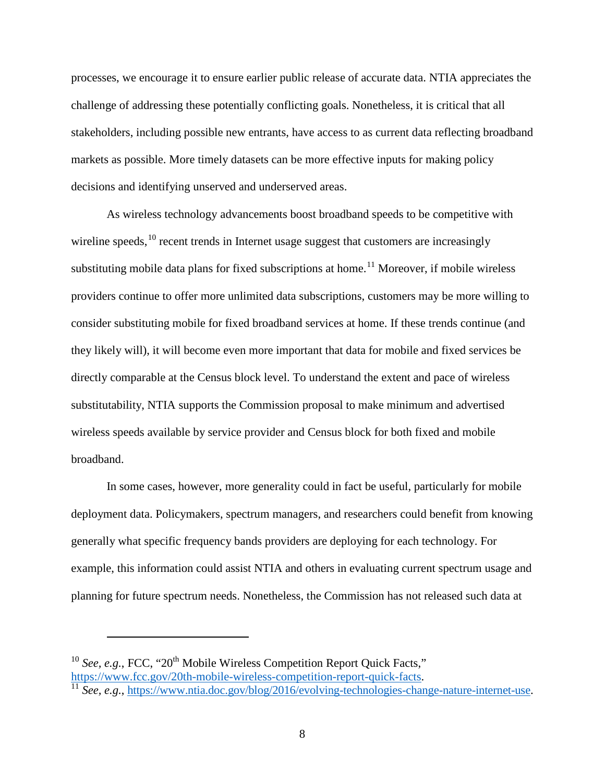processes, we encourage it to ensure earlier public release of accurate data. NTIA appreciates the challenge of addressing these potentially conflicting goals. Nonetheless, it is critical that all stakeholders, including possible new entrants, have access to as current data reflecting broadband markets as possible. More timely datasets can be more effective inputs for making policy decisions and identifying unserved and underserved areas.

As wireless technology advancements boost broadband speeds to be competitive with wireline speeds, <sup>[10](#page-7-0)</sup> recent trends in Internet usage suggest that customers are increasingly substituting mobile data plans for fixed subscriptions at home.<sup>[11](#page-7-1)</sup> Moreover, if mobile wireless providers continue to offer more unlimited data subscriptions, customers may be more willing to consider substituting mobile for fixed broadband services at home. If these trends continue (and they likely will), it will become even more important that data for mobile and fixed services be directly comparable at the Census block level. To understand the extent and pace of wireless substitutability, NTIA supports the Commission proposal to make minimum and advertised wireless speeds available by service provider and Census block for both fixed and mobile broadband.

In some cases, however, more generality could in fact be useful, particularly for mobile deployment data. Policymakers, spectrum managers, and researchers could benefit from knowing generally what specific frequency bands providers are deploying for each technology. For example, this information could assist NTIA and others in evaluating current spectrum usage and planning for future spectrum needs. Nonetheless, the Commission has not released such data at

<span id="page-7-0"></span><sup>10</sup> See, e.g., FCC, "20<sup>th</sup> Mobile Wireless Competition Report Quick Facts," [https://www.fcc.gov/20th-mobile-wireless-competition-report-quick-facts.](https://www.fcc.gov/20th-mobile-wireless-competition-report-quick-facts) <sup>11</sup> *See, e.g.*, [https://www.ntia.doc.gov/blog/2016/evolving-technologies-change-nature-internet-use.](https://www.ntia.doc.gov/blog/2016/evolving-technologies-change-nature-internet-use)

<span id="page-7-1"></span>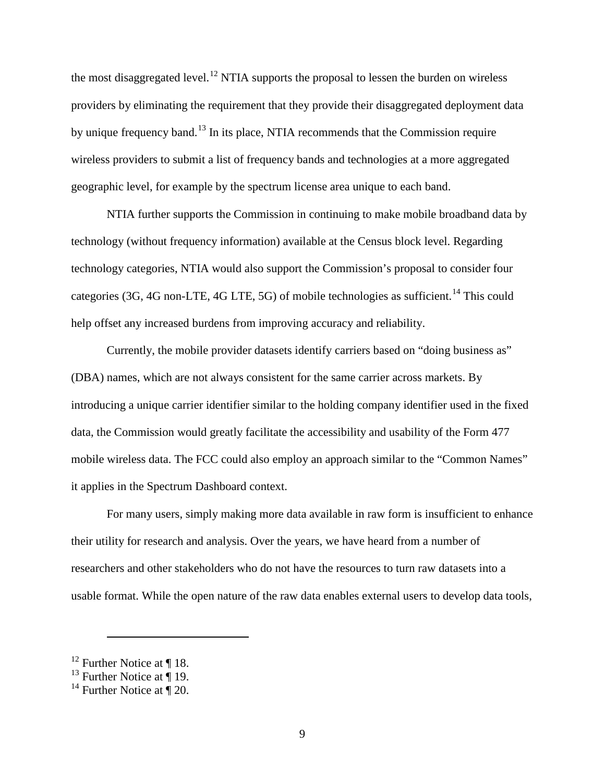the most disaggregated level.<sup>[12](#page-8-0)</sup> NTIA supports the proposal to lessen the burden on wireless providers by eliminating the requirement that they provide their disaggregated deployment data by unique frequency band.<sup>[13](#page-8-1)</sup> In its place, NTIA recommends that the Commission require wireless providers to submit a list of frequency bands and technologies at a more aggregated geographic level, for example by the spectrum license area unique to each band.

NTIA further supports the Commission in continuing to make mobile broadband data by technology (without frequency information) available at the Census block level. Regarding technology categories, NTIA would also support the Commission's proposal to consider four categories (3G, 4G non-LTE, 4G LTE, 5G) of mobile technologies as sufficient.<sup>[14](#page-8-2)</sup> This could help offset any increased burdens from improving accuracy and reliability.

Currently, the mobile provider datasets identify carriers based on "doing business as" (DBA) names, which are not always consistent for the same carrier across markets. By introducing a unique carrier identifier similar to the holding company identifier used in the fixed data, the Commission would greatly facilitate the accessibility and usability of the Form 477 mobile wireless data. The FCC could also employ an approach similar to the "Common Names" it applies in the Spectrum Dashboard context.

For many users, simply making more data available in raw form is insufficient to enhance their utility for research and analysis. Over the years, we have heard from a number of researchers and other stakeholders who do not have the resources to turn raw datasets into a usable format. While the open nature of the raw data enables external users to develop data tools,

<span id="page-8-0"></span><sup>&</sup>lt;sup>12</sup> Further Notice at  $\P$  18.

<span id="page-8-1"></span><sup>&</sup>lt;sup>13</sup> Further Notice at  $\overline{\P}$  19.

<span id="page-8-2"></span><sup>&</sup>lt;sup>14</sup> Further Notice at  $\P$  20.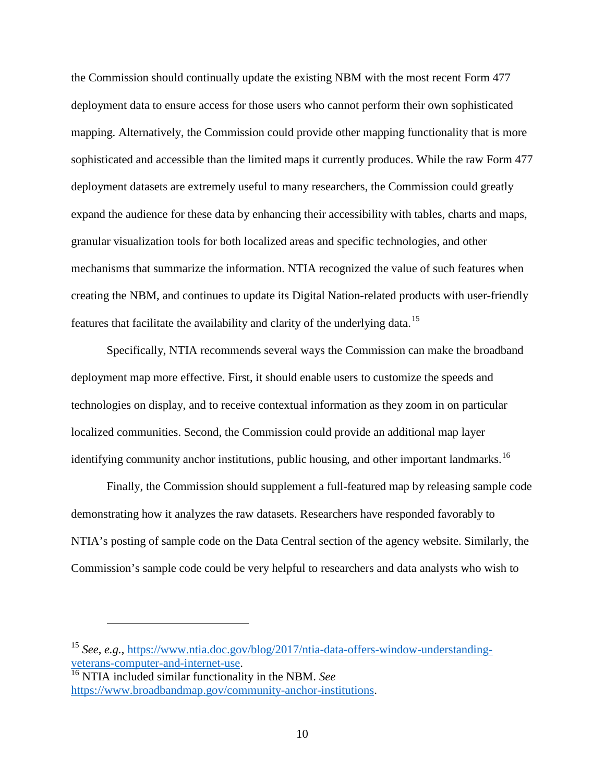the Commission should continually update the existing NBM with the most recent Form 477 deployment data to ensure access for those users who cannot perform their own sophisticated mapping. Alternatively, the Commission could provide other mapping functionality that is more sophisticated and accessible than the limited maps it currently produces. While the raw Form 477 deployment datasets are extremely useful to many researchers, the Commission could greatly expand the audience for these data by enhancing their accessibility with tables, charts and maps, granular visualization tools for both localized areas and specific technologies, and other mechanisms that summarize the information. NTIA recognized the value of such features when creating the NBM, and continues to update its Digital Nation-related products with user-friendly features that facilitate the availability and clarity of the underlying data.<sup>[15](#page-9-0)</sup>

Specifically, NTIA recommends several ways the Commission can make the broadband deployment map more effective. First, it should enable users to customize the speeds and technologies on display, and to receive contextual information as they zoom in on particular localized communities. Second, the Commission could provide an additional map layer identifying community anchor institutions, public housing, and other important landmarks.<sup>[16](#page-9-1)</sup>

Finally, the Commission should supplement a full-featured map by releasing sample code demonstrating how it analyzes the raw datasets. Researchers have responded favorably to NTIA's posting of sample code on the Data Central section of the agency website. Similarly, the Commission's sample code could be very helpful to researchers and data analysts who wish to

<span id="page-9-0"></span><sup>&</sup>lt;sup>15</sup> *See*, *e.g.*, https://www.ntia.doc.gov/blog/2017/ntia-data-offers-window-understanding-<br>veterans-computer-and-internet-use.

<span id="page-9-1"></span><sup>&</sup>lt;sup>16</sup> NTIA included similar functionality in the NBM. See [https://www.broadbandmap.gov/community-anchor-institutions.](https://www.broadbandmap.gov/community-anchor-institutions)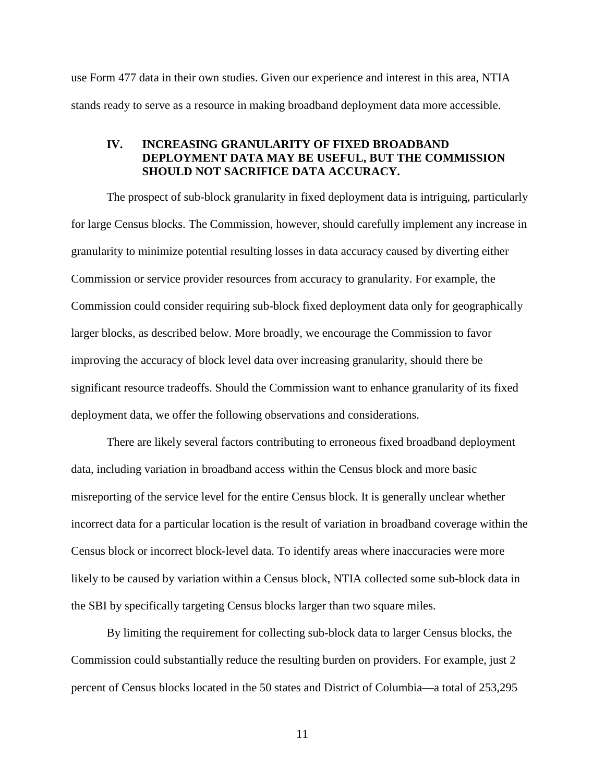use Form 477 data in their own studies. Given our experience and interest in this area, NTIA stands ready to serve as a resource in making broadband deployment data more accessible.

#### **IV. INCREASING GRANULARITY OF FIXED BROADBAND DEPLOYMENT DATA MAY BE USEFUL, BUT THE COMMISSION SHOULD NOT SACRIFICE DATA ACCURACY.**

The prospect of sub-block granularity in fixed deployment data is intriguing, particularly for large Census blocks. The Commission, however, should carefully implement any increase in granularity to minimize potential resulting losses in data accuracy caused by diverting either Commission or service provider resources from accuracy to granularity. For example, the Commission could consider requiring sub-block fixed deployment data only for geographically larger blocks, as described below. More broadly, we encourage the Commission to favor improving the accuracy of block level data over increasing granularity, should there be significant resource tradeoffs. Should the Commission want to enhance granularity of its fixed deployment data, we offer the following observations and considerations.

There are likely several factors contributing to erroneous fixed broadband deployment data, including variation in broadband access within the Census block and more basic misreporting of the service level for the entire Census block. It is generally unclear whether incorrect data for a particular location is the result of variation in broadband coverage within the Census block or incorrect block-level data. To identify areas where inaccuracies were more likely to be caused by variation within a Census block, NTIA collected some sub-block data in the SBI by specifically targeting Census blocks larger than two square miles.

By limiting the requirement for collecting sub-block data to larger Census blocks, the Commission could substantially reduce the resulting burden on providers. For example, just 2 percent of Census blocks located in the 50 states and District of Columbia—a total of 253,295

11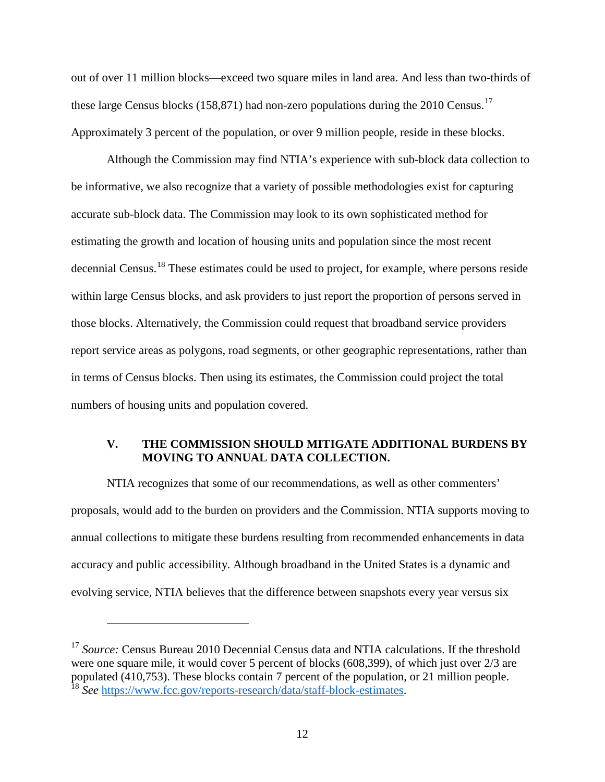out of over 11 million blocks—exceed two square miles in land area. And less than two-thirds of these large Census blocks (158,871) had non-zero populations during the 2010 Census.<sup>[17](#page-11-0)</sup> Approximately 3 percent of the population, or over 9 million people, reside in these blocks.

Although the Commission may find NTIA's experience with sub-block data collection to be informative, we also recognize that a variety of possible methodologies exist for capturing accurate sub-block data. The Commission may look to its own sophisticated method for estimating the growth and location of housing units and population since the most recent decennial Census.<sup>[18](#page-11-1)</sup> These estimates could be used to project, for example, where persons reside within large Census blocks, and ask providers to just report the proportion of persons served in those blocks. Alternatively, the Commission could request that broadband service providers report service areas as polygons, road segments, or other geographic representations, rather than in terms of Census blocks. Then using its estimates, the Commission could project the total numbers of housing units and population covered.

# **V. THE COMMISSION SHOULD MITIGATE ADDITIONAL BURDENS BY MOVING TO ANNUAL DATA COLLECTION.**

NTIA recognizes that some of our recommendations, as well as other commenters' proposals, would add to the burden on providers and the Commission. NTIA supports moving to annual collections to mitigate these burdens resulting from recommended enhancements in data accuracy and public accessibility. Although broadband in the United States is a dynamic and evolving service, NTIA believes that the difference between snapshots every year versus six

<span id="page-11-1"></span><span id="page-11-0"></span><sup>&</sup>lt;sup>17</sup> *Source:* Census Bureau 2010 Decennial Census data and NTIA calculations. If the threshold were one square mile, it would cover 5 percent of blocks (608,399), of which just over 2/3 are populated (410,753). These blocks contain 7 percent of the population, or 21 million people. <sup>18</sup> See [https://www.fcc.gov/reports-research/data/staff-block-estimates.](https://www.fcc.gov/reports-research/data/staff-block-estimates)